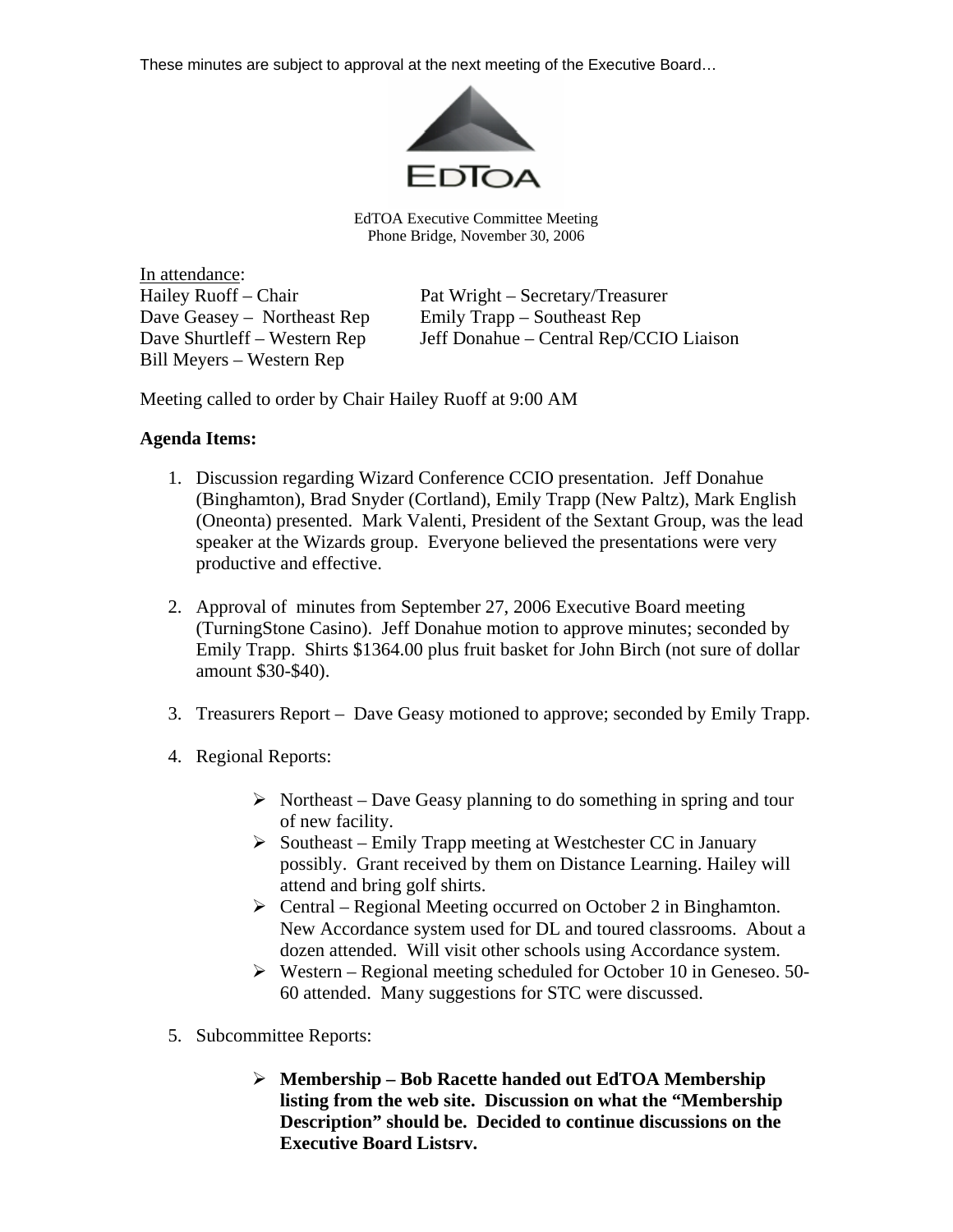These minutes are subject to approval at the next meeting of the Executive Board…



EdTOA Executive Committee Meeting Phone Bridge, November 30, 2006

In attendance: Dave Geasey – Northeast Rep Emily Trapp – Southeast Rep Bill Meyers – Western Rep

Hailey Ruoff – Chair Pat Wright – Secretary/Treasurer Dave Shurtleff – Western Rep Jeff Donahue – Central Rep/CCIO Liaison

Meeting called to order by Chair Hailey Ruoff at 9:00 AM

## **Agenda Items:**

- 1. Discussion regarding Wizard Conference CCIO presentation. Jeff Donahue (Binghamton), Brad Snyder (Cortland), Emily Trapp (New Paltz), Mark English (Oneonta) presented. Mark Valenti, President of the Sextant Group, was the lead speaker at the Wizards group. Everyone believed the presentations were very productive and effective.
- 2. Approval of minutes from September 27, 2006 Executive Board meeting (TurningStone Casino). Jeff Donahue motion to approve minutes; seconded by Emily Trapp. Shirts \$1364.00 plus fruit basket for John Birch (not sure of dollar amount \$30-\$40).
- 3. Treasurers Report Dave Geasy motioned to approve; seconded by Emily Trapp.
- 4. Regional Reports:
	- $\triangleright$  Northeast Dave Geasy planning to do something in spring and tour of new facility.
	- ¾ Southeast Emily Trapp meeting at Westchester CC in January possibly. Grant received by them on Distance Learning. Hailey will attend and bring golf shirts.
	- $\triangleright$  Central Regional Meeting occurred on October 2 in Binghamton. New Accordance system used for DL and toured classrooms. About a dozen attended. Will visit other schools using Accordance system.
	- $\triangleright$  Western Regional meeting scheduled for October 10 in Geneseo. 50-60 attended. Many suggestions for STC were discussed.
- 5. Subcommittee Reports:
	- ¾ **Membership Bob Racette handed out EdTOA Membership listing from the web site. Discussion on what the "Membership Description" should be. Decided to continue discussions on the Executive Board Listsrv.**